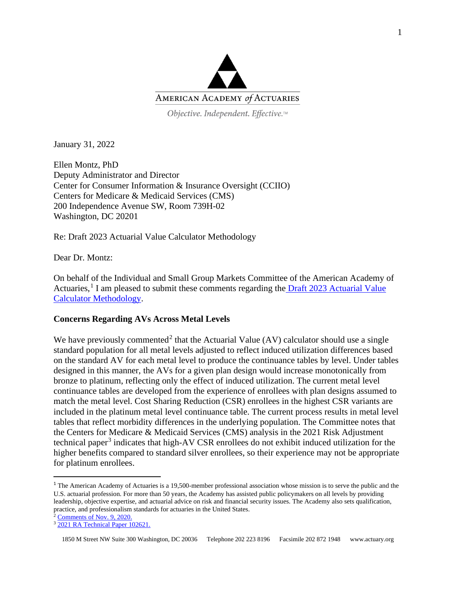

Objective. Independent. Effective.™

January 31, 2022

Ellen Montz, PhD Deputy Administrator and Director Center for Consumer Information & Insurance Oversight (CCIIO) Centers for Medicare & Medicaid Services (CMS) 200 Independence Avenue SW, Room 739H-02 Washington, DC 20201

Re: Draft 2023 Actuarial Value Calculator Methodology

Dear Dr. Montz:

On behalf of the Individual and Small Group Markets Committee of the American Academy of Actuaries,<sup>[1](#page-0-0)</sup> I am pleased to submit these comments regarding the **Draft 2023** Actuarial Value [Calculator Methodology.](https://www.cms.gov/CCIIO/Resources/Regulations-and-Guidance/Downloads/Draft-2023-AV-Calculator-Methodology.pdf)

## **Concerns Regarding AVs Across Metal Levels**

We have previously commented<sup>[2](#page-0-1)</sup> that the Actuarial Value (AV) calculator should use a single standard population for all metal levels adjusted to reflect induced utilization differences based on the standard AV for each metal level to produce the continuance tables by level. Under tables designed in this manner, the AVs for a given plan design would increase monotonically from bronze to platinum, reflecting only the effect of induced utilization. The current metal level continuance tables are developed from the experience of enrollees with plan designs assumed to match the metal level. Cost Sharing Reduction (CSR) enrollees in the highest CSR variants are included in the platinum metal level continuance table. The current process results in metal level tables that reflect morbidity differences in the underlying population. The Committee notes that the Centers for Medicare & Medicaid Services (CMS) analysis in the 2021 Risk Adjustment technical paper<sup>[3](#page-0-2)</sup> indicates that high-AV CSR enrollees do not exhibit induced utilization for the higher benefits compared to standard silver enrollees, so their experience may not be appropriate for platinum enrollees.

<span id="page-0-0"></span><sup>&</sup>lt;sup>1</sup> The American Academy of Actuaries is a 19,500-member professional association whose mission is to serve the public and the U.S. actuarial profession. For more than 50 years, the Academy has assisted public policymakers on all levels by providing leadership, objective expertise, and actuarial advice on risk and financial security issues. The Academy also sets qualification, practice, and professionalism standards for actuaries in the United States.

<sup>&</sup>lt;sup>2</sup> Comments [of Nov. 9, 2020.](https://www.actuary.org/sites/default/files/2020-11/MEDMARKETS_AV_Calculator_Comments.pdf)

<span id="page-0-2"></span><span id="page-0-1"></span><sup>&</sup>lt;sup>3</sup> [2021 RA Technical Paper 102621.](https://www.cms.gov/files/document/2021-ra-technical-paper.pdf)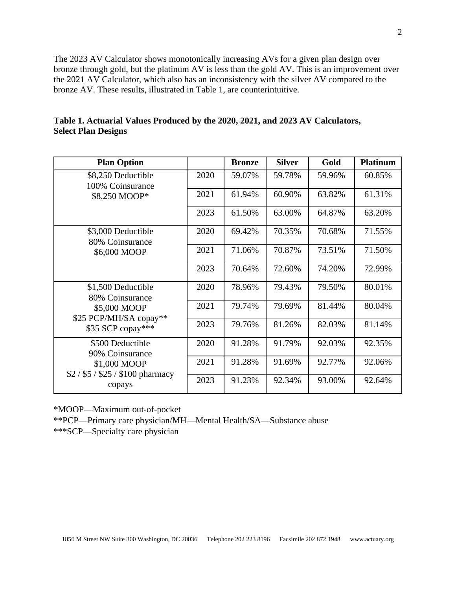The 2023 AV Calculator shows monotonically increasing AVs for a given plan design over bronze through gold, but the platinum AV is less than the gold AV. This is an improvement over the 2021 AV Calculator, which also has an inconsistency with the silver AV compared to the bronze AV. These results, illustrated in Table 1, are counterintuitive.

| <b>Plan Option</b>                                                                                       |      | <b>Bronze</b> | <b>Silver</b> | Gold   | <b>Platinum</b> |
|----------------------------------------------------------------------------------------------------------|------|---------------|---------------|--------|-----------------|
| \$8,250 Deductible<br>100% Coinsurance<br>\$8,250 MOOP*                                                  | 2020 | 59.07%        | 59.78%        | 59.96% | 60.85%          |
|                                                                                                          | 2021 | 61.94%        | 60.90%        | 63.82% | 61.31%          |
|                                                                                                          | 2023 | 61.50%        | 63.00%        | 64.87% | 63.20%          |
| \$3,000 Deductible<br>80% Coinsurance<br>\$6,000 MOOP                                                    | 2020 | 69.42%        | 70.35%        | 70.68% | 71.55%          |
|                                                                                                          | 2021 | 71.06%        | 70.87%        | 73.51% | 71.50%          |
|                                                                                                          | 2023 | 70.64%        | 72.60%        | 74.20% | 72.99%          |
| \$1,500 Deductible<br>80% Coinsurance<br>\$5,000 MOOP<br>\$25 PCP/MH/SA copay**<br>\$35 SCP copay***     | 2020 | 78.96%        | 79.43%        | 79.50% | 80.01%          |
|                                                                                                          | 2021 | 79.74%        | 79.69%        | 81.44% | 80.04%          |
|                                                                                                          | 2023 | 79.76%        | 81.26%        | 82.03% | 81.14%          |
| \$500 Deductible<br>90% Coinsurance<br>\$1,000 MOOP<br>$$2 / $5 / $25 / $100 \text{ pharmacy}$<br>copays | 2020 | 91.28%        | 91.79%        | 92.03% | 92.35%          |
|                                                                                                          | 2021 | 91.28%        | 91.69%        | 92.77% | 92.06%          |
|                                                                                                          | 2023 | 91.23%        | 92.34%        | 93.00% | 92.64%          |

| Table 1. Actuarial Values Produced by the 2020, 2021, and 2023 AV Calculators, |  |  |  |
|--------------------------------------------------------------------------------|--|--|--|
| <b>Select Plan Designs</b>                                                     |  |  |  |

\*MOOP—Maximum out-of-pocket

\*\*PCP—Primary care physician/MH—Mental Health/SA—Substance abuse

\*\*\*SCP—Specialty care physician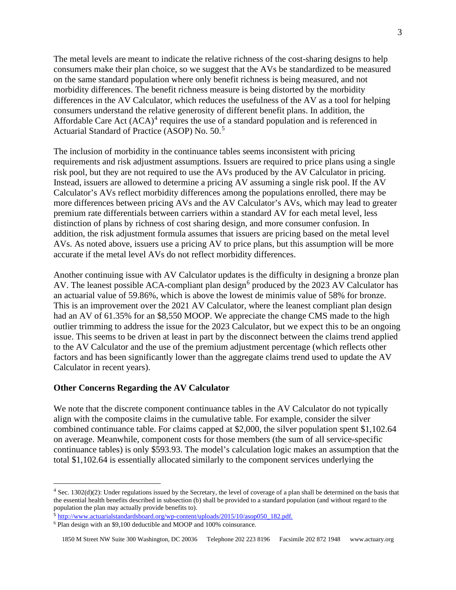The metal levels are meant to indicate the relative richness of the cost-sharing designs to help consumers make their plan choice, so we suggest that the AVs be standardized to be measured on the same standard population where only benefit richness is being measured, and not morbidity differences. The benefit richness measure is being distorted by the morbidity differences in the AV Calculator, which reduces the usefulness of the AV as a tool for helping consumers understand the relative generosity of different benefit plans. In addition, the Affordable Care Act  $(ACA)^4$  $(ACA)^4$  requires the use of a standard population and is referenced in Actuarial Standard of Practice (ASOP) No. 50.[5](#page-2-1)

The inclusion of morbidity in the continuance tables seems inconsistent with pricing requirements and risk adjustment assumptions. Issuers are required to price plans using a single risk pool, but they are not required to use the AVs produced by the AV Calculator in pricing. Instead, issuers are allowed to determine a pricing AV assuming a single risk pool. If the AV Calculator's AVs reflect morbidity differences among the populations enrolled, there may be more differences between pricing AVs and the AV Calculator's AVs, which may lead to greater premium rate differentials between carriers within a standard AV for each metal level, less distinction of plans by richness of cost sharing design, and more consumer confusion. In addition, the risk adjustment formula assumes that issuers are pricing based on the metal level AVs. As noted above, issuers use a pricing AV to price plans, but this assumption will be more accurate if the metal level AVs do not reflect morbidity differences.

Another continuing issue with AV Calculator updates is the difficulty in designing a bronze plan AV. The leanest possible ACA-compliant plan design<sup>[6](#page-2-2)</sup> produced by the 2023 AV Calculator has an actuarial value of 59.86%, which is above the lowest de minimis value of 58% for bronze. This is an improvement over the 2021 AV Calculator, where the leanest compliant plan design had an AV of 61.35% for an \$8,550 MOOP. We appreciate the change CMS made to the high outlier trimming to address the issue for the 2023 Calculator, but we expect this to be an ongoing issue. This seems to be driven at least in part by the disconnect between the claims trend applied to the AV Calculator and the use of the premium adjustment percentage (which reflects other factors and has been significantly lower than the aggregate claims trend used to update the AV Calculator in recent years).

## **Other Concerns Regarding the AV Calculator**

We note that the discrete component continuance tables in the AV Calculator do not typically align with the composite claims in the cumulative table. For example, consider the silver combined continuance table. For claims capped at \$2,000, the silver population spent \$1,102.64 on average. Meanwhile, component costs for those members (the sum of all service-specific continuance tables) is only \$593.93. The model's calculation logic makes an assumption that the total \$1,102.64 is essentially allocated similarly to the component services underlying the

<span id="page-2-0"></span> $4$  Sec. 1302(d)(2): Under regulations issued by the Secretary, the level of coverage of a plan shall be determined on the basis that the essential health benefits described in subsection (b) shall be provided to a standard population (and without regard to the population the plan may actually provide benefits to).

<span id="page-2-1"></span><sup>5</sup> [http://www.actuarialstandardsboard.org/wp-content/uploads/2015/10/asop050\\_182.pdf.](http://www.actuarialstandardsboard.org/wp-content/uploads/2015/10/asop050_182.pdf)

<span id="page-2-2"></span><sup>6</sup> Plan design with an \$9,100 deductible and MOOP and 100% coinsurance.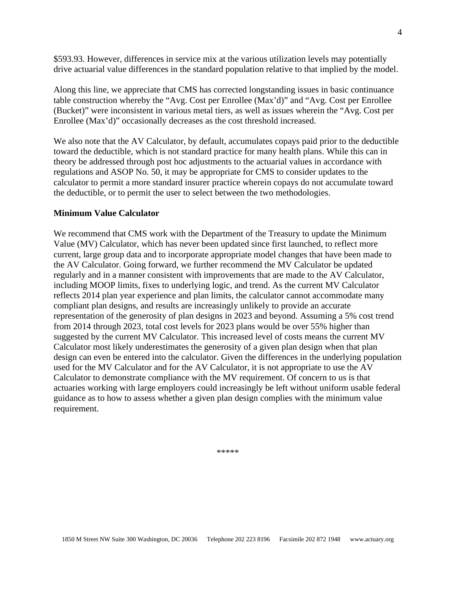\$593.93. However, differences in service mix at the various utilization levels may potentially drive actuarial value differences in the standard population relative to that implied by the model.

Along this line, we appreciate that CMS has corrected longstanding issues in basic continuance table construction whereby the "Avg. Cost per Enrollee (Max'd)" and "Avg. Cost per Enrollee (Bucket)" were inconsistent in various metal tiers, as well as issues wherein the "Avg. Cost per Enrollee (Max'd)" occasionally decreases as the cost threshold increased.

We also note that the AV Calculator, by default, accumulates copays paid prior to the deductible toward the deductible, which is not standard practice for many health plans. While this can in theory be addressed through post hoc adjustments to the actuarial values in accordance with regulations and ASOP No. 50, it may be appropriate for CMS to consider updates to the calculator to permit a more standard insurer practice wherein copays do not accumulate toward the deductible, or to permit the user to select between the two methodologies.

## **Minimum Value Calculator**

We recommend that CMS work with the Department of the Treasury to update the Minimum Value (MV) Calculator, which has never been updated since first launched, to reflect more current, large group data and to incorporate appropriate model changes that have been made to the AV Calculator. Going forward, we further recommend the MV Calculator be updated regularly and in a manner consistent with improvements that are made to the AV Calculator, including MOOP limits, fixes to underlying logic, and trend. As the current MV Calculator reflects 2014 plan year experience and plan limits, the calculator cannot accommodate many compliant plan designs, and results are increasingly unlikely to provide an accurate representation of the generosity of plan designs in 2023 and beyond. Assuming a 5% cost trend from 2014 through 2023, total cost levels for 2023 plans would be over 55% higher than suggested by the current MV Calculator. This increased level of costs means the current MV Calculator most likely underestimates the generosity of a given plan design when that plan design can even be entered into the calculator. Given the differences in the underlying population used for the MV Calculator and for the AV Calculator, it is not appropriate to use the AV Calculator to demonstrate compliance with the MV requirement. Of concern to us is that actuaries working with large employers could increasingly be left without uniform usable federal guidance as to how to assess whether a given plan design complies with the minimum value requirement.

\*\*\*\*\*